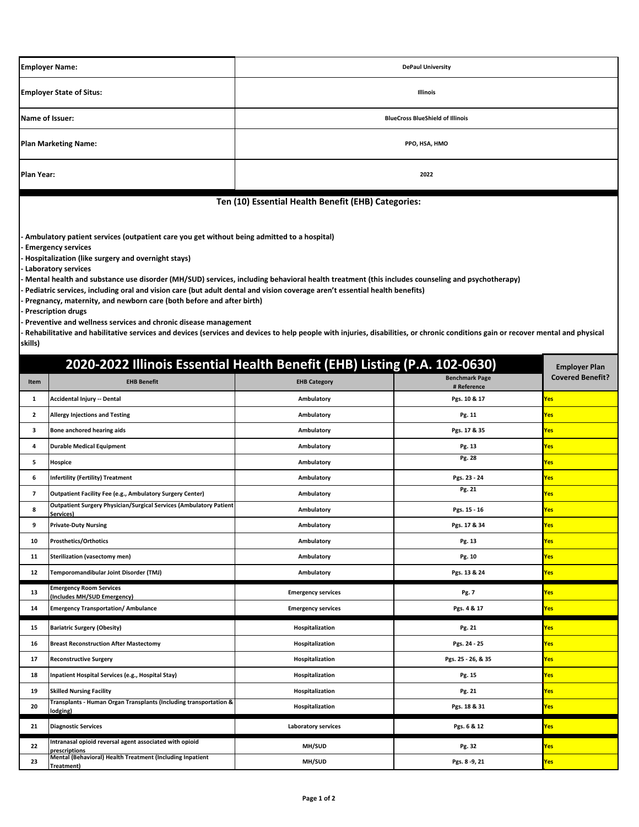| <b>Employer Name:</b>                                                                                                | <b>DePaul University</b>                |  |  |
|----------------------------------------------------------------------------------------------------------------------|-----------------------------------------|--|--|
| <b>Employer State of Situs:</b>                                                                                      | Illinois                                |  |  |
| Name of Issuer:                                                                                                      | <b>BlueCross BlueShield of Illinois</b> |  |  |
| <b>Plan Marketing Name:</b>                                                                                          | PPO, HSA, HMO                           |  |  |
| Plan Year:                                                                                                           | 2022                                    |  |  |
| .<br>the contract of the contract of the contract of the contract of the contract of the contract of the contract of |                                         |  |  |

## **Ten (10) Essential Health Benefit (EHB) Categories:**

**- Ambulatory patient services (outpatient care you get without being admitted to a hospital)**

**- Emergency services**

**- Hospitalization (like surgery and overnight stays)**

**- Laboratory services**

**- Mental health and substance use disorder (MH/SUD) services, including behavioral health treatment (this includes counseling and psychotherapy)**

**- Pediatric services, including oral and vision care (but adult dental and vision coverage aren't essential health benefits)**

**- Pregnancy, maternity, and newborn care (both before and after birth)**

**- Prescription drugs**

**- Preventive and wellness services and chronic disease management**

**- Rehabilitative and habilitative services and devices (services and devices to help people with injuries, disabilities, or chronic conditions gain or recover mental and physical skills)**

| 2020-2022 Illinois Essential Health Benefit (EHB) Listing (P.A. 102-0630) |                                                                                        |                            |                                      |                         |
|---------------------------------------------------------------------------|----------------------------------------------------------------------------------------|----------------------------|--------------------------------------|-------------------------|
| Item                                                                      | <b>EHB Benefit</b>                                                                     | <b>EHB Category</b>        | <b>Benchmark Page</b><br># Reference | <b>Covered Benefit?</b> |
| $\mathbf{1}$                                                              | Accidental Injury -- Dental                                                            | Ambulatory                 | Pgs. 10 & 17                         | Yes                     |
| $\overline{2}$                                                            | <b>Allergy Injections and Testing</b>                                                  | Ambulatory                 | Pg. 11                               | Yes                     |
| 3                                                                         | Bone anchored hearing aids                                                             | Ambulatory                 | Pgs. 17 & 35                         | <b>Yes</b>              |
| 4                                                                         | <b>Durable Medical Equipment</b>                                                       | Ambulatory                 | Pg. 13                               | Yes                     |
| 5                                                                         | Hospice                                                                                | Ambulatory                 | Pg. 28                               | Yes                     |
| 6                                                                         | <b>Infertility (Fertility) Treatment</b>                                               | Ambulatory                 | Pgs. 23 - 24                         | <b>Yes</b>              |
| $\overline{7}$                                                            | Outpatient Facility Fee (e.g., Ambulatory Surgery Center)                              | Ambulatory                 | Pg. 21                               | Yes                     |
| 8                                                                         | <b>Outpatient Surgery Physician/Surgical Services (Ambulatory Patient</b><br>Services) | Ambulatory                 | Pgs. 15 - 16                         | Yes                     |
| 9                                                                         | <b>Private-Duty Nursing</b>                                                            | Ambulatory                 | Pgs. 17 & 34                         | <b>Yes</b>              |
| 10                                                                        | <b>Prosthetics/Orthotics</b>                                                           | Ambulatory                 | Pg. 13                               | Yes                     |
| 11                                                                        | Sterilization (vasectomy men)                                                          | Ambulatory                 | Pg. 10                               | Yes                     |
| 12                                                                        | Temporomandibular Joint Disorder (TMJ)                                                 | Ambulatory                 | Pgs. 13 & 24                         | <b>Yes</b>              |
| 13                                                                        | <b>Emergency Room Services</b><br>(Includes MH/SUD Emergency)                          | <b>Emergency services</b>  | Pg. 7                                | <b>Yes</b>              |
| 14                                                                        | <b>Emergency Transportation/ Ambulance</b>                                             | <b>Emergency services</b>  | Pgs. 4 & 17                          | <b>Yes</b>              |
| 15                                                                        | <b>Bariatric Surgery (Obesity)</b>                                                     | Hospitalization            | Pg. 21                               | Yes                     |
| 16                                                                        | <b>Breast Reconstruction After Mastectomy</b>                                          | Hospitalization            | Pgs. 24 - 25                         | Yes                     |
| 17                                                                        | <b>Reconstructive Surgery</b>                                                          | Hospitalization            | Pgs. 25 - 26, & 35                   | <b>Yes</b>              |
| 18                                                                        | Inpatient Hospital Services (e.g., Hospital Stay)                                      | Hospitalization            | Pg. 15                               | Yes                     |
| 19                                                                        | <b>Skilled Nursing Facility</b>                                                        | Hospitalization            | Pg. 21                               | Yes                     |
| 20                                                                        | Transplants - Human Organ Transplants (Including transportation &<br>lodging)          | Hospitalization            | Pgs. 18 & 31                         | <b>Yes</b>              |
| 21                                                                        | <b>Diagnostic Services</b>                                                             | <b>Laboratory services</b> | Pgs. 6 & 12                          | <b>Yes</b>              |
| 22                                                                        | Intranasal opioid reversal agent associated with opioid<br>prescriptions               | MH/SUD                     | Pg. 32                               | Yes                     |
| 23                                                                        | Mental (Behavioral) Health Treatment (Including Inpatient<br>Treatment)                | MH/SUD                     | Pgs. 8 - 9, 21                       | Yes                     |